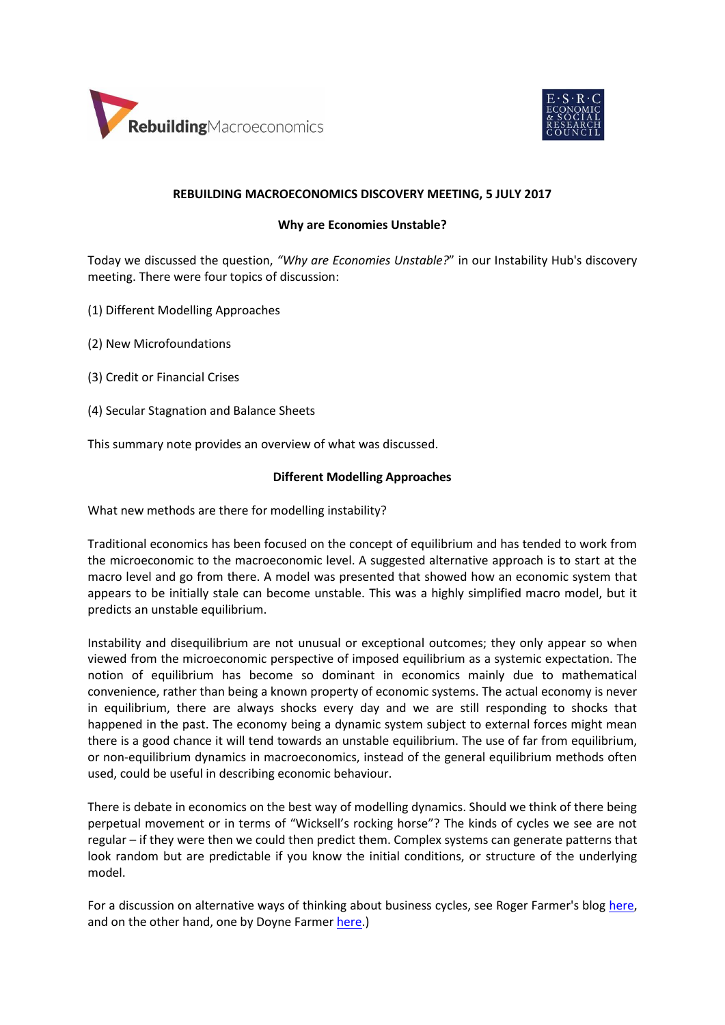



# **REBUILDING MACROECONOMICS DISCOVERY MEETING, 5 JULY 2017**

## **Why are Economies Unstable?**

Today we discussed the question, *"Why are Economies Unstable?*" in our Instability Hub's discovery meeting. There were four topics of discussion:

- (1) Different Modelling Approaches
- (2) New Microfoundations
- (3) Credit or Financial Crises
- (4) Secular Stagnation and Balance Sheets

This summary note provides an overview of what was discussed.

## **Different Modelling Approaches**

What new methods are there for modelling instability?

Traditional economics has been focused on the concept of equilibrium and has tended to work from the microeconomic to the macroeconomic level. A suggested alternative approach is to start at the macro level and go from there. A model was presented that showed how an economic system that appears to be initially stale can become unstable. This was a highly simplified macro model, but it predicts an unstable equilibrium.

Instability and disequilibrium are not unusual or exceptional outcomes; they only appear so when viewed from the microeconomic perspective of imposed equilibrium as a systemic expectation. The notion of equilibrium has become so dominant in economics mainly due to mathematical convenience, rather than being a known property of economic systems. The actual economy is never in equilibrium, there are always shocks every day and we are still responding to shocks that happened in the past. The economy being a dynamic system subject to external forces might mean there is a good chance it will tend towards an unstable equilibrium. The use of far from equilibrium, or non-equilibrium dynamics in macroeconomics, instead of the general equilibrium methods often used, could be useful in describing economic behaviour.

There is debate in economics on the best way of modelling dynamics. Should we think of there being perpetual movement or in terms of "Wicksell's rocking horse"? The kinds of cycles we see are not regular – if they were then we could then predict them. Complex systems can generate patterns that look random but are predictable if you know the initial conditions, or structure of the underlying model.

For a discussion on alternative ways of thinking about business cycles, see Roger Farmer's blog [here,](https://www.rebuildingmacroeconomics.ac.uk/making-sense-chaos-windy-boat/) and on the other hand, one by Doyne Farme[r here.](https://www.rebuildingmacroeconomics.ac.uk/business-cycles-chaotic-part/))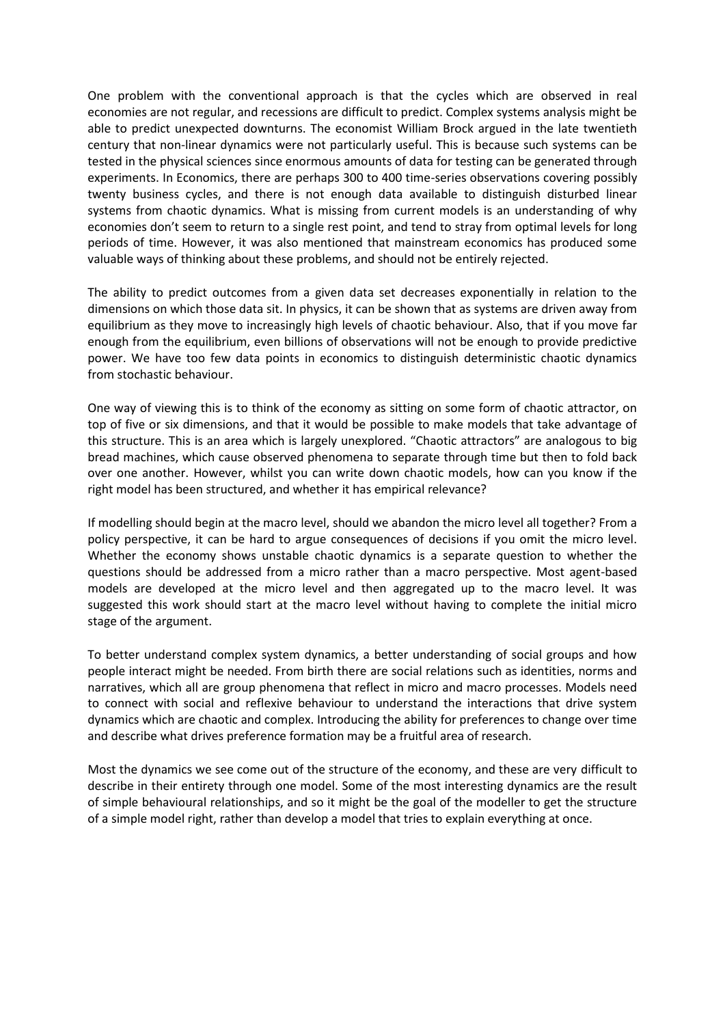One problem with the conventional approach is that the cycles which are observed in real economies are not regular, and recessions are difficult to predict. Complex systems analysis might be able to predict unexpected downturns. The economist William Brock argued in the late twentieth century that non-linear dynamics were not particularly useful. This is because such systems can be tested in the physical sciences since enormous amounts of data for testing can be generated through experiments. In Economics, there are perhaps 300 to 400 time-series observations covering possibly twenty business cycles, and there is not enough data available to distinguish disturbed linear systems from chaotic dynamics. What is missing from current models is an understanding of why economies don't seem to return to a single rest point, and tend to stray from optimal levels for long periods of time. However, it was also mentioned that mainstream economics has produced some valuable ways of thinking about these problems, and should not be entirely rejected.

The ability to predict outcomes from a given data set decreases exponentially in relation to the dimensions on which those data sit. In physics, it can be shown that as systems are driven away from equilibrium as they move to increasingly high levels of chaotic behaviour. Also, that if you move far enough from the equilibrium, even billions of observations will not be enough to provide predictive power. We have too few data points in economics to distinguish deterministic chaotic dynamics from stochastic behaviour.

One way of viewing this is to think of the economy as sitting on some form of chaotic attractor, on top of five or six dimensions, and that it would be possible to make models that take advantage of this structure. This is an area which is largely unexplored. "Chaotic attractors" are analogous to big bread machines, which cause observed phenomena to separate through time but then to fold back over one another. However, whilst you can write down chaotic models, how can you know if the right model has been structured, and whether it has empirical relevance?

If modelling should begin at the macro level, should we abandon the micro level all together? From a policy perspective, it can be hard to argue consequences of decisions if you omit the micro level. Whether the economy shows unstable chaotic dynamics is a separate question to whether the questions should be addressed from a micro rather than a macro perspective. Most agent-based models are developed at the micro level and then aggregated up to the macro level. It was suggested this work should start at the macro level without having to complete the initial micro stage of the argument.

To better understand complex system dynamics, a better understanding of social groups and how people interact might be needed. From birth there are social relations such as identities, norms and narratives, which all are group phenomena that reflect in micro and macro processes. Models need to connect with social and reflexive behaviour to understand the interactions that drive system dynamics which are chaotic and complex. Introducing the ability for preferences to change over time and describe what drives preference formation may be a fruitful area of research.

Most the dynamics we see come out of the structure of the economy, and these are very difficult to describe in their entirety through one model. Some of the most interesting dynamics are the result of simple behavioural relationships, and so it might be the goal of the modeller to get the structure of a simple model right, rather than develop a model that tries to explain everything at once.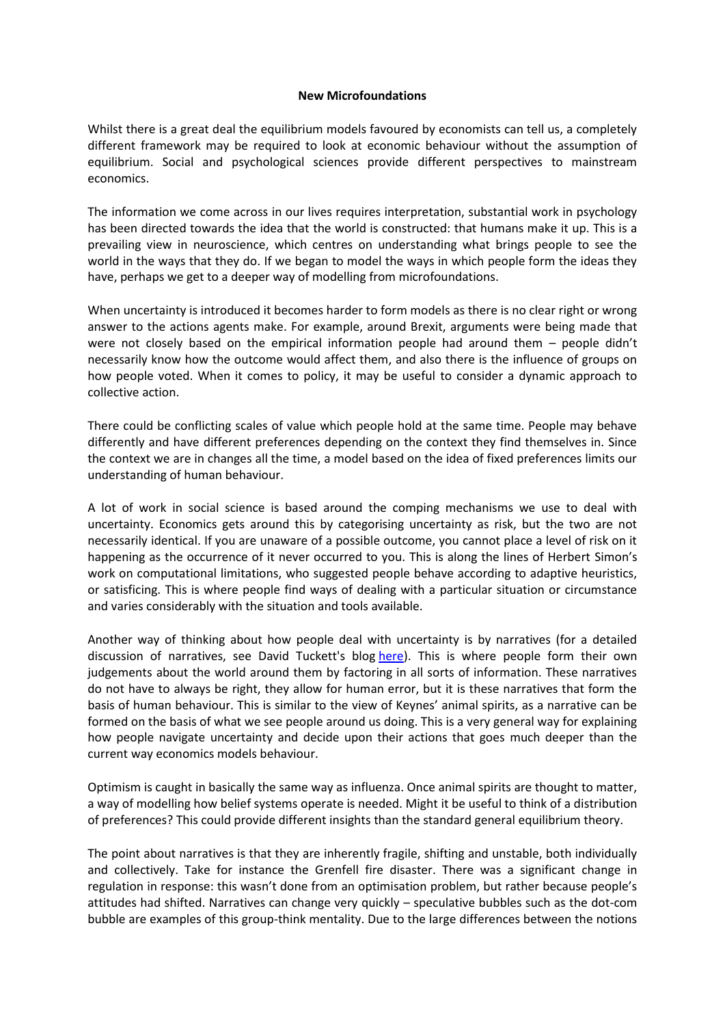### **New Microfoundations**

Whilst there is a great deal the equilibrium models favoured by economists can tell us, a completely different framework may be required to look at economic behaviour without the assumption of equilibrium. Social and psychological sciences provide different perspectives to mainstream economics.

The information we come across in our lives requires interpretation, substantial work in psychology has been directed towards the idea that the world is constructed: that humans make it up. This is a prevailing view in neuroscience, which centres on understanding what brings people to see the world in the ways that they do. If we began to model the ways in which people form the ideas they have, perhaps we get to a deeper way of modelling from microfoundations.

When uncertainty is introduced it becomes harder to form models as there is no clear right or wrong answer to the actions agents make. For example, around Brexit, arguments were being made that were not closely based on the empirical information people had around them – people didn't necessarily know how the outcome would affect them, and also there is the influence of groups on how people voted. When it comes to policy, it may be useful to consider a dynamic approach to collective action.

There could be conflicting scales of value which people hold at the same time. People may behave differently and have different preferences depending on the context they find themselves in. Since the context we are in changes all the time, a model based on the idea of fixed preferences limits our understanding of human behaviour.

A lot of work in social science is based around the comping mechanisms we use to deal with uncertainty. Economics gets around this by categorising uncertainty as risk, but the two are not necessarily identical. If you are unaware of a possible outcome, you cannot place a level of risk on it happening as the occurrence of it never occurred to you. This is along the lines of Herbert Simon's work on computational limitations, who suggested people behave according to adaptive heuristics, or satisficing. This is where people find ways of dealing with a particular situation or circumstance and varies considerably with the situation and tools available.

Another way of thinking about how people deal with uncertainty is by narratives (for a detailed discussion of narratives, see David Tuckett's blog [here\)](https://www.rebuildingmacroeconomics.ac.uk/macroeconomics-human-actors/). This is where people form their own judgements about the world around them by factoring in all sorts of information. These narratives do not have to always be right, they allow for human error, but it is these narratives that form the basis of human behaviour. This is similar to the view of Keynes' animal spirits, as a narrative can be formed on the basis of what we see people around us doing. This is a very general way for explaining how people navigate uncertainty and decide upon their actions that goes much deeper than the current way economics models behaviour.

Optimism is caught in basically the same way as influenza. Once animal spirits are thought to matter, a way of modelling how belief systems operate is needed. Might it be useful to think of a distribution of preferences? This could provide different insights than the standard general equilibrium theory.

The point about narratives is that they are inherently fragile, shifting and unstable, both individually and collectively. Take for instance the Grenfell fire disaster. There was a significant change in regulation in response: this wasn't done from an optimisation problem, but rather because people's attitudes had shifted. Narratives can change very quickly – speculative bubbles such as the dot-com bubble are examples of this group-think mentality. Due to the large differences between the notions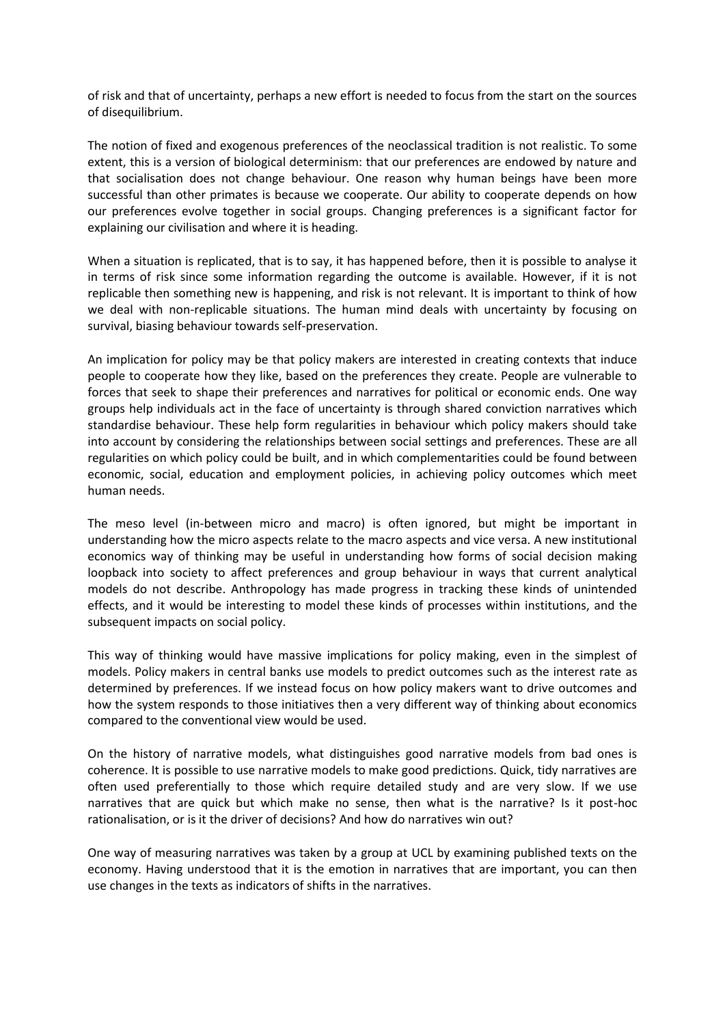of risk and that of uncertainty, perhaps a new effort is needed to focus from the start on the sources of disequilibrium.

The notion of fixed and exogenous preferences of the neoclassical tradition is not realistic. To some extent, this is a version of biological determinism: that our preferences are endowed by nature and that socialisation does not change behaviour. One reason why human beings have been more successful than other primates is because we cooperate. Our ability to cooperate depends on how our preferences evolve together in social groups. Changing preferences is a significant factor for explaining our civilisation and where it is heading.

When a situation is replicated, that is to say, it has happened before, then it is possible to analyse it in terms of risk since some information regarding the outcome is available. However, if it is not replicable then something new is happening, and risk is not relevant. It is important to think of how we deal with non-replicable situations. The human mind deals with uncertainty by focusing on survival, biasing behaviour towards self-preservation.

An implication for policy may be that policy makers are interested in creating contexts that induce people to cooperate how they like, based on the preferences they create. People are vulnerable to forces that seek to shape their preferences and narratives for political or economic ends. One way groups help individuals act in the face of uncertainty is through shared conviction narratives which standardise behaviour. These help form regularities in behaviour which policy makers should take into account by considering the relationships between social settings and preferences. These are all regularities on which policy could be built, and in which complementarities could be found between economic, social, education and employment policies, in achieving policy outcomes which meet human needs.

The meso level (in-between micro and macro) is often ignored, but might be important in understanding how the micro aspects relate to the macro aspects and vice versa. A new institutional economics way of thinking may be useful in understanding how forms of social decision making loopback into society to affect preferences and group behaviour in ways that current analytical models do not describe. Anthropology has made progress in tracking these kinds of unintended effects, and it would be interesting to model these kinds of processes within institutions, and the subsequent impacts on social policy.

This way of thinking would have massive implications for policy making, even in the simplest of models. Policy makers in central banks use models to predict outcomes such as the interest rate as determined by preferences. If we instead focus on how policy makers want to drive outcomes and how the system responds to those initiatives then a very different way of thinking about economics compared to the conventional view would be used.

On the history of narrative models, what distinguishes good narrative models from bad ones is coherence. It is possible to use narrative models to make good predictions. Quick, tidy narratives are often used preferentially to those which require detailed study and are very slow. If we use narratives that are quick but which make no sense, then what is the narrative? Is it post-hoc rationalisation, or is it the driver of decisions? And how do narratives win out?

One way of measuring narratives was taken by a group at UCL by examining published texts on the economy. Having understood that it is the emotion in narratives that are important, you can then use changes in the texts as indicators of shifts in the narratives.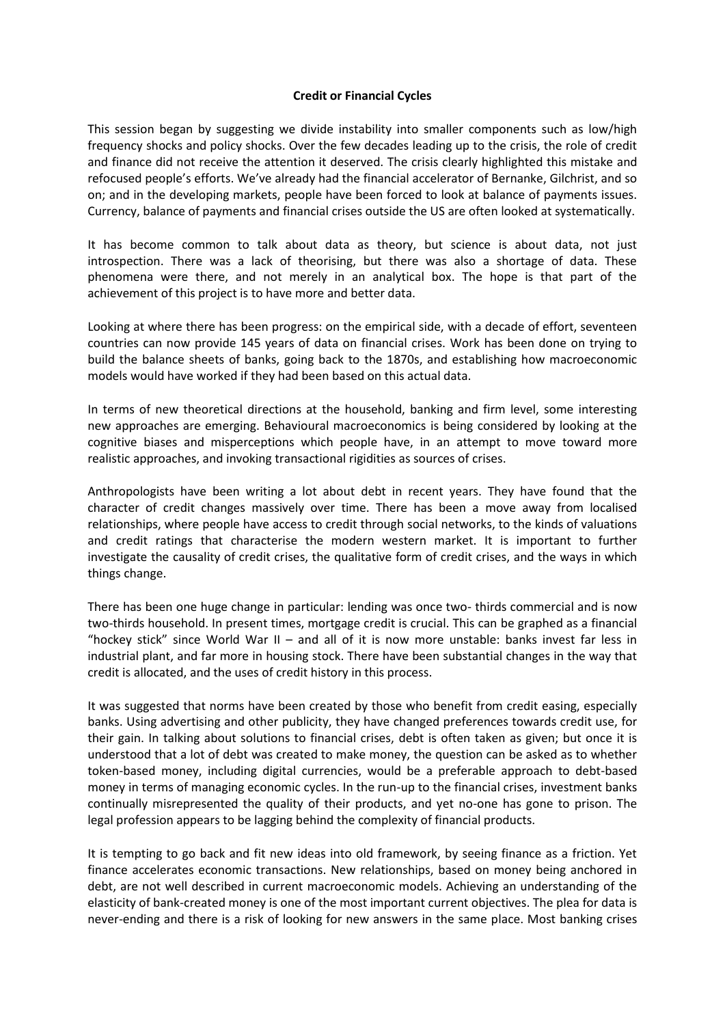## **Credit or Financial Cycles**

This session began by suggesting we divide instability into smaller components such as low/high frequency shocks and policy shocks. Over the few decades leading up to the crisis, the role of credit and finance did not receive the attention it deserved. The crisis clearly highlighted this mistake and refocused people's efforts. We've already had the financial accelerator of Bernanke, Gilchrist, and so on; and in the developing markets, people have been forced to look at balance of payments issues. Currency, balance of payments and financial crises outside the US are often looked at systematically.

It has become common to talk about data as theory, but science is about data, not just introspection. There was a lack of theorising, but there was also a shortage of data. These phenomena were there, and not merely in an analytical box. The hope is that part of the achievement of this project is to have more and better data.

Looking at where there has been progress: on the empirical side, with a decade of effort, seventeen countries can now provide 145 years of data on financial crises. Work has been done on trying to build the balance sheets of banks, going back to the 1870s, and establishing how macroeconomic models would have worked if they had been based on this actual data.

In terms of new theoretical directions at the household, banking and firm level, some interesting new approaches are emerging. Behavioural macroeconomics is being considered by looking at the cognitive biases and misperceptions which people have, in an attempt to move toward more realistic approaches, and invoking transactional rigidities as sources of crises.

Anthropologists have been writing a lot about debt in recent years. They have found that the character of credit changes massively over time. There has been a move away from localised relationships, where people have access to credit through social networks, to the kinds of valuations and credit ratings that characterise the modern western market. It is important to further investigate the causality of credit crises, the qualitative form of credit crises, and the ways in which things change.

There has been one huge change in particular: lending was once two- thirds commercial and is now two-thirds household. In present times, mortgage credit is crucial. This can be graphed as a financial "hockey stick" since World War II – and all of it is now more unstable: banks invest far less in industrial plant, and far more in housing stock. There have been substantial changes in the way that credit is allocated, and the uses of credit history in this process.

It was suggested that norms have been created by those who benefit from credit easing, especially banks. Using advertising and other publicity, they have changed preferences towards credit use, for their gain. In talking about solutions to financial crises, debt is often taken as given; but once it is understood that a lot of debt was created to make money, the question can be asked as to whether token-based money, including digital currencies, would be a preferable approach to debt-based money in terms of managing economic cycles. In the run-up to the financial crises, investment banks continually misrepresented the quality of their products, and yet no-one has gone to prison. The legal profession appears to be lagging behind the complexity of financial products.

It is tempting to go back and fit new ideas into old framework, by seeing finance as a friction. Yet finance accelerates economic transactions. New relationships, based on money being anchored in debt, are not well described in current macroeconomic models. Achieving an understanding of the elasticity of bank-created money is one of the most important current objectives. The plea for data is never-ending and there is a risk of looking for new answers in the same place. Most banking crises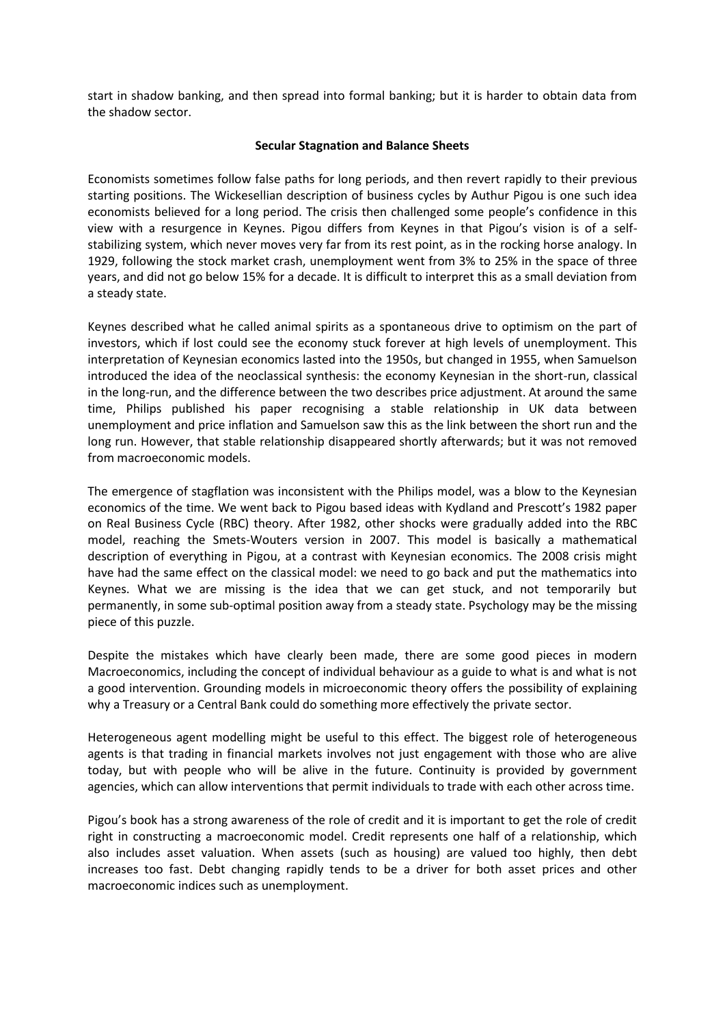start in shadow banking, and then spread into formal banking; but it is harder to obtain data from the shadow sector.

### **Secular Stagnation and Balance Sheets**

Economists sometimes follow false paths for long periods, and then revert rapidly to their previous starting positions. The Wickesellian description of business cycles by Authur Pigou is one such idea economists believed for a long period. The crisis then challenged some people's confidence in this view with a resurgence in Keynes. Pigou differs from Keynes in that Pigou's vision is of a selfstabilizing system, which never moves very far from its rest point, as in the rocking horse analogy. In 1929, following the stock market crash, unemployment went from 3% to 25% in the space of three years, and did not go below 15% for a decade. It is difficult to interpret this as a small deviation from a steady state.

Keynes described what he called animal spirits as a spontaneous drive to optimism on the part of investors, which if lost could see the economy stuck forever at high levels of unemployment. This interpretation of Keynesian economics lasted into the 1950s, but changed in 1955, when Samuelson introduced the idea of the neoclassical synthesis: the economy Keynesian in the short-run, classical in the long-run, and the difference between the two describes price adjustment. At around the same time, Philips published his paper recognising a stable relationship in UK data between unemployment and price inflation and Samuelson saw this as the link between the short run and the long run. However, that stable relationship disappeared shortly afterwards; but it was not removed from macroeconomic models.

The emergence of stagflation was inconsistent with the Philips model, was a blow to the Keynesian economics of the time. We went back to Pigou based ideas with Kydland and Prescott's 1982 paper on Real Business Cycle (RBC) theory. After 1982, other shocks were gradually added into the RBC model, reaching the Smets-Wouters version in 2007. This model is basically a mathematical description of everything in Pigou, at a contrast with Keynesian economics. The 2008 crisis might have had the same effect on the classical model: we need to go back and put the mathematics into Keynes. What we are missing is the idea that we can get stuck, and not temporarily but permanently, in some sub-optimal position away from a steady state. Psychology may be the missing piece of this puzzle.

Despite the mistakes which have clearly been made, there are some good pieces in modern Macroeconomics, including the concept of individual behaviour as a guide to what is and what is not a good intervention. Grounding models in microeconomic theory offers the possibility of explaining why a Treasury or a Central Bank could do something more effectively the private sector.

Heterogeneous agent modelling might be useful to this effect. The biggest role of heterogeneous agents is that trading in financial markets involves not just engagement with those who are alive today, but with people who will be alive in the future. Continuity is provided by government agencies, which can allow interventions that permit individuals to trade with each other across time.

Pigou's book has a strong awareness of the role of credit and it is important to get the role of credit right in constructing a macroeconomic model. Credit represents one half of a relationship, which also includes asset valuation. When assets (such as housing) are valued too highly, then debt increases too fast. Debt changing rapidly tends to be a driver for both asset prices and other macroeconomic indices such as unemployment.